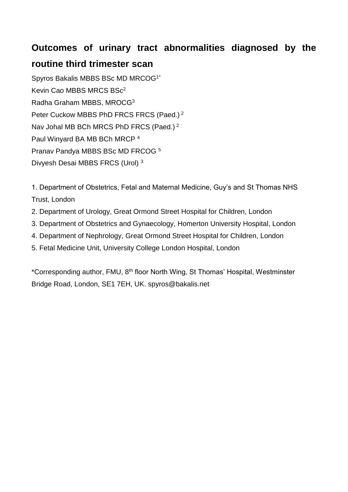# **Outcomes of urinary tract abnormalities diagnosed by the**

# **routine third trimester scan**

Spyros Bakalis MBBS BSc MD MRCOG1\* Kevin Cao MBBS MRCS BSc<sup>2</sup> Radha Graham MBBS, MROCG<sup>3</sup> Peter Cuckow MBBS PhD FRCS FRCS (Paed.) <sup>2</sup> Nav Johal MB BCh MRCS PhD FRCS (Paed.) <sup>2</sup> Paul Winyard BA MB BCh MRCP <sup>4</sup> Pranav Pandya MBBS BSc MD FRCOG <sup>5</sup> Divyesh Desai MBBS FRCS (Urol) <sup>3</sup>

1. Department of Obstetrics, Fetal and Maternal Medicine, Guy's and St Thomas NHS Trust, London

- 2. Department of Urology, Great Ormond Street Hospital for Children, London
- 3. Department of Obstetrics and Gynaecology, Homerton University Hospital, London
- 4. Department of Nephrology, Great Ormond Street Hospital for Children, London
- 5. Fetal Medicine Unit, University College London Hospital, London

\*Corresponding author, FMU, 8th floor North Wing, St Thomas' Hospital, Westminster Bridge Road, London, SE1 7EH, UK. spyros@bakalis.net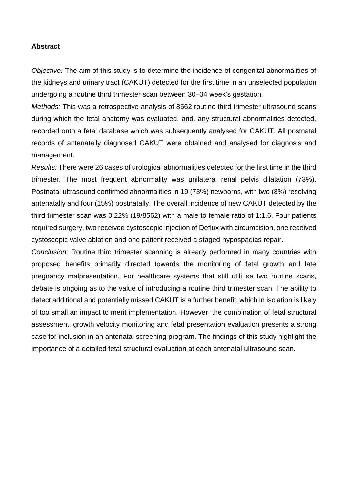#### **Abstract**

*Objective:* The aim of this study is to determine the incidence of congenital abnormalities of the kidneys and urinary tract (CAKUT) detected for the first time in an unselected population undergoing a routine third trimester scan between 30–34 week's gestation.

*Methods:* This was a retrospective analysis of 8562 routine third trimester ultrasound scans during which the fetal anatomy was evaluated, and, any structural abnormalities detected, recorded onto a fetal database which was subsequently analysed for CAKUT. All postnatal records of antenatally diagnosed CAKUT were obtained and analysed for diagnosis and management.

*Results:* There were 26 cases of urological abnormalities detected for the first time in the third trimester. The most frequent abnormality was unilateral renal pelvis dilatation (73%). Postnatal ultrasound confirmed abnormalities in 19 (73%) newborns, with two (8%) resolving antenatally and four (15%) postnatally. The overall incidence of new CAKUT detected by the third trimester scan was 0.22% (19/8562) with a male to female ratio of 1:1.6. Four patients required surgery, two received cystoscopic injection of Deflux with circumcision, one received cystoscopic valve ablation and one patient received a staged hypospadias repair.

*Conclusion:* Routine third trimester scanning is already performed in many countries with proposed benefits primarily directed towards the monitoring of fetal growth and late pregnancy malpresentation. For healthcare systems that still utili se two routine scans, debate is ongoing as to the value of introducing a routine third trimester scan. The ability to detect additional and potentially missed CAKUT is a further benefit, which in isolation is likely of too small an impact to merit implementation. However, the combination of fetal structural assessment, growth velocity monitoring and fetal presentation evaluation presents a strong case for inclusion in an antenatal screening program. The findings of this study highlight the importance of a detailed fetal structural evaluation at each antenatal ultrasound scan.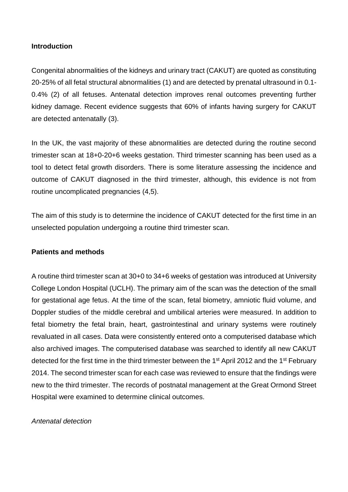# **Introduction**

Congenital abnormalities of the kidneys and urinary tract (CAKUT) are quoted as constituting 20-25% of all fetal structural abnormalities (1) and are detected by prenatal ultrasound in 0.1- 0.4% (2) of all fetuses. Antenatal detection improves renal outcomes preventing further kidney damage. Recent evidence suggests that 60% of infants having surgery for CAKUT are detected antenatally (3).

In the UK, the vast majority of these abnormalities are detected during the routine second trimester scan at 18+0-20+6 weeks gestation. Third trimester scanning has been used as a tool to detect fetal growth disorders. There is some literature assessing the incidence and outcome of CAKUT diagnosed in the third trimester, although, this evidence is not from routine uncomplicated pregnancies (4,5).

The aim of this study is to determine the incidence of CAKUT detected for the first time in an unselected population undergoing a routine third trimester scan.

# **Patients and methods**

A routine third trimester scan at 30+0 to 34+6 weeks of gestation was introduced at University College London Hospital (UCLH). The primary aim of the scan was the detection of the small for gestational age fetus. At the time of the scan, fetal biometry, amniotic fluid volume, and Doppler studies of the middle cerebral and umbilical arteries were measured. In addition to fetal biometry the fetal brain, heart, gastrointestinal and urinary systems were routinely revaluated in all cases. Data were consistently entered onto a computerised database which also archived images. The computerised database was searched to identify all new CAKUT detected for the first time in the third trimester between the 1<sup>st</sup> April 2012 and the 1<sup>st</sup> February 2014. The second trimester scan for each case was reviewed to ensure that the findings were new to the third trimester. The records of postnatal management at the Great Ormond Street Hospital were examined to determine clinical outcomes.

## *Antenatal detection*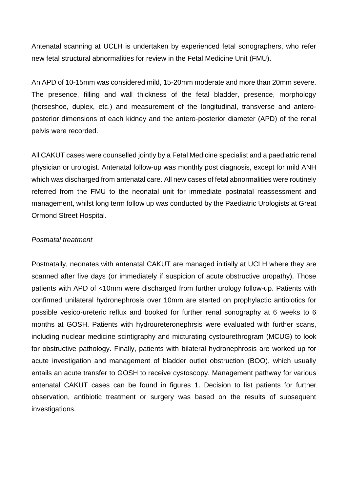Antenatal scanning at UCLH is undertaken by experienced fetal sonographers, who refer new fetal structural abnormalities for review in the Fetal Medicine Unit (FMU).

An APD of 10-15mm was considered mild, 15-20mm moderate and more than 20mm severe. The presence, filling and wall thickness of the fetal bladder, presence, morphology (horseshoe, duplex, etc.) and measurement of the longitudinal, transverse and anteroposterior dimensions of each kidney and the antero-posterior diameter (APD) of the renal pelvis were recorded.

All CAKUT cases were counselled jointly by a Fetal Medicine specialist and a paediatric renal physician or urologist. Antenatal follow-up was monthly post diagnosis, except for mild ANH which was discharged from antenatal care. All new cases of fetal abnormalities were routinely referred from the FMU to the neonatal unit for immediate postnatal reassessment and management, whilst long term follow up was conducted by the Paediatric Urologists at Great Ormond Street Hospital.

#### *Postnatal treatment*

Postnatally, neonates with antenatal CAKUT are managed initially at UCLH where they are scanned after five days (or immediately if suspicion of acute obstructive uropathy). Those patients with APD of <10mm were discharged from further urology follow-up. Patients with confirmed unilateral hydronephrosis over 10mm are started on prophylactic antibiotics for possible vesico-ureteric reflux and booked for further renal sonography at 6 weeks to 6 months at GOSH. Patients with hydroureteronephrsis were evaluated with further scans, including nuclear medicine scintigraphy and micturating cystourethrogram (MCUG) to look for obstructive pathology. Finally, patients with bilateral hydronephrosis are worked up for acute investigation and management of bladder outlet obstruction (BOO), which usually entails an acute transfer to GOSH to receive cystoscopy. Management pathway for various antenatal CAKUT cases can be found in figures 1. Decision to list patients for further observation, antibiotic treatment or surgery was based on the results of subsequent investigations.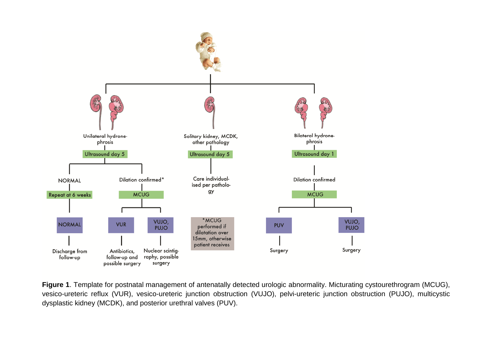

**Figure 1**. Template for postnatal management of antenatally detected urologic abnormality. Micturating cystourethrogram (MCUG), vesico-ureteric reflux (VUR), vesico-ureteric junction obstruction (VUJO), pelvi-ureteric junction obstruction (PUJO), multicystic dysplastic kidney (MCDK), and posterior urethral valves (PUV).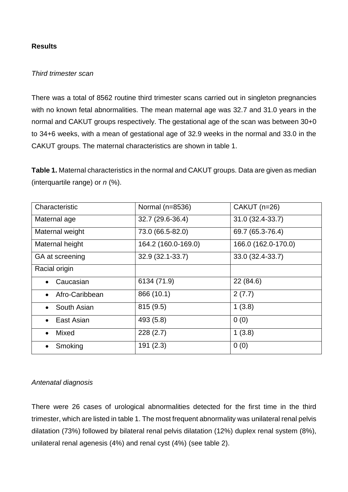# **Results**

## *Third trimester scan*

There was a total of 8562 routine third trimester scans carried out in singleton pregnancies with no known fetal abnormalities. The mean maternal age was 32.7 and 31.0 years in the normal and CAKUT groups respectively. The gestational age of the scan was between 30+0 to 34+6 weeks, with a mean of gestational age of 32.9 weeks in the normal and 33.0 in the CAKUT groups. The maternal characteristics are shown in table 1.

**Table 1.** Maternal characteristics in the normal and CAKUT groups. Data are given as median (interquartile range) or *n* (%).

| Characteristic              | Normal (n=8536)     | CAKUT (n=26)        |
|-----------------------------|---------------------|---------------------|
| Maternal age                | 32.7 (29.6-36.4)    | 31.0 (32.4-33.7)    |
| Maternal weight             | 73.0 (66.5-82.0)    | 69.7 (65.3-76.4)    |
| Maternal height             | 164.2 (160.0-169.0) | 166.0 (162.0-170.0) |
| GA at screening             | $32.9(32.1 - 33.7)$ | 33.0 (32.4-33.7)    |
| Racial origin               |                     |                     |
| Caucasian<br>$\bullet$      | 6134 (71.9)         | 22 (84.6)           |
| Afro-Caribbean<br>$\bullet$ | 866 (10.1)          | 2(7.7)              |
| South Asian<br>$\bullet$    | 815(9.5)            | 1(3.8)              |
| East Asian                  | 493 (5.8)           | 0(0)                |
| Mixed<br>$\bullet$          | 228(2.7)            | 1(3.8)              |
| Smoking                     | 191(2.3)            | 0(0)                |

## *Antenatal diagnosis*

There were 26 cases of urological abnormalities detected for the first time in the third trimester, which are listed in table 1. The most frequent abnormality was unilateral renal pelvis dilatation (73%) followed by bilateral renal pelvis dilatation (12%) duplex renal system (8%), unilateral renal agenesis (4%) and renal cyst (4%) (see table 2).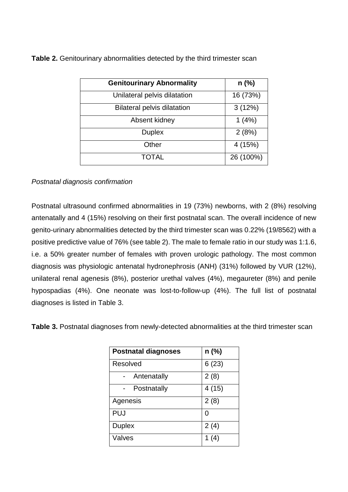**Table 2.** Genitourinary abnormalities detected by the third trimester scan

| <b>Genitourinary Abnormality</b>   | $n$ (%)   |
|------------------------------------|-----------|
| Unilateral pelvis dilatation       | 16 (73%)  |
| <b>Bilateral pelvis dilatation</b> | 3(12%)    |
| Absent kidney                      | 1(4%)     |
| <b>Duplex</b>                      | 2(8%)     |
| Other                              | 4 (15%)   |
| <b>TOTAL</b>                       | 26 (100%) |

# *Postnatal diagnosis confirmation*

Postnatal ultrasound confirmed abnormalities in 19 (73%) newborns, with 2 (8%) resolving antenatally and 4 (15%) resolving on their first postnatal scan. The overall incidence of new genito-urinary abnormalities detected by the third trimester scan was 0.22% (19/8562) with a positive predictive value of 76% (see table 2). The male to female ratio in our study was 1:1.6, i.e. a 50% greater number of females with proven urologic pathology. The most common diagnosis was physiologic antenatal hydronephrosis (ANH) (31%) followed by VUR (12%), unilateral renal agenesis (8%), posterior urethal valves (4%), megaureter (8%) and penile hypospadias (4%). One neonate was lost-to-follow-up (4%). The full list of postnatal diagnoses is listed in Table 3.

**Table 3.** Postnatal diagnoses from newly-detected abnormalities at the third trimester scan

| <b>Postnatal diagnoses</b> | $n$ (%) |
|----------------------------|---------|
| Resolved                   | 6(23)   |
| Antenatally                | 2(8)    |
| Postnatally                | 4(15)   |
| Agenesis                   | 2(8)    |
| <b>PUJ</b>                 | O       |
| <b>Duplex</b>              | 2(4)    |
| Valves                     | 1 $(4)$ |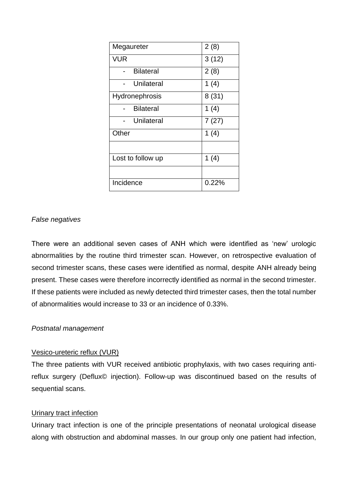| Megaureter        | 2(8)     |
|-------------------|----------|
| VUR               | 3(12)    |
| <b>Bilateral</b>  | 2(8)     |
| Unilateral        | 1(4)     |
| Hydronephrosis    | 8(31)    |
| <b>Bilateral</b>  | 1(4)     |
| Unilateral        | 7(27)    |
| Other             | 1(4)     |
|                   |          |
| Lost to follow up | 1 $(4)$  |
|                   |          |
| Incidence         | $0.22\%$ |

# *False negatives*

There were an additional seven cases of ANH which were identified as 'new' urologic abnormalities by the routine third trimester scan. However, on retrospective evaluation of second trimester scans, these cases were identified as normal, despite ANH already being present. These cases were therefore incorrectly identified as normal in the second trimester. If these patients were included as newly detected third trimester cases, then the total number of abnormalities would increase to 33 or an incidence of 0.33%.

## *Postnatal management*

## Vesico-ureteric reflux (VUR)

The three patients with VUR received antibiotic prophylaxis, with two cases requiring antireflux surgery (Deflux© injection). Follow-up was discontinued based on the results of sequential scans.

## Urinary tract infection

Urinary tract infection is one of the principle presentations of neonatal urological disease along with obstruction and abdominal masses. In our group only one patient had infection,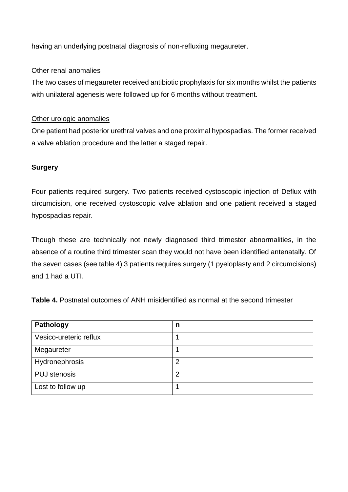having an underlying postnatal diagnosis of non-refluxing megaureter.

# Other renal anomalies

The two cases of megaureter received antibiotic prophylaxis for six months whilst the patients with unilateral agenesis were followed up for 6 months without treatment.

# Other urologic anomalies

One patient had posterior urethral valves and one proximal hypospadias. The former received a valve ablation procedure and the latter a staged repair.

# **Surgery**

Four patients required surgery. Two patients received cystoscopic injection of Deflux with circumcision, one received cystoscopic valve ablation and one patient received a staged hypospadias repair.

Though these are technically not newly diagnosed third trimester abnormalities, in the absence of a routine third trimester scan they would not have been identified antenatally. Of the seven cases (see table 4) 3 patients requires surgery (1 pyeloplasty and 2 circumcisions) and 1 had a UTI.

**Table 4.** Postnatal outcomes of ANH misidentified as normal at the second trimester

| <b>Pathology</b>       | n              |
|------------------------|----------------|
| Vesico-ureteric reflux |                |
| Megaureter             |                |
| Hydronephrosis         | $\overline{2}$ |
| <b>PUJ</b> stenosis    | 2              |
| Lost to follow up      |                |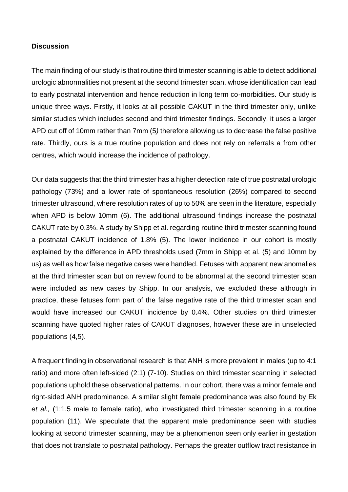#### **Discussion**

The main finding of our study is that routine third trimester scanning is able to detect additional urologic abnormalities not present at the second trimester scan, whose identification can lead to early postnatal intervention and hence reduction in long term co-morbidities. Our study is unique three ways. Firstly, it looks at all possible CAKUT in the third trimester only, unlike similar studies which includes second and third trimester findings. Secondly, it uses a larger APD cut off of 10mm rather than 7mm (5*)* therefore allowing us to decrease the false positive rate. Thirdly, ours is a true routine population and does not rely on referrals a from other centres, which would increase the incidence of pathology.

Our data suggests that the third trimester has a higher detection rate of true postnatal urologic pathology (73%) and a lower rate of spontaneous resolution (26%) compared to second trimester ultrasound, where resolution rates of up to 50% are seen in the literature, especially when APD is below 10mm (6). The additional ultrasound findings increase the postnatal CAKUT rate by 0.3%. A study by Shipp et al. regarding routine third trimester scanning found a postnatal CAKUT incidence of 1.8% (5). The lower incidence in our cohort is mostly explained by the difference in APD thresholds used (7mm in Shipp et al. (5) and 10mm by us) as well as how false negative cases were handled. Fetuses with apparent new anomalies at the third trimester scan but on review found to be abnormal at the second trimester scan were included as new cases by Shipp. In our analysis, we excluded these although in practice, these fetuses form part of the false negative rate of the third trimester scan and would have increased our CAKUT incidence by 0.4%. Other studies on third trimester scanning have quoted higher rates of CAKUT diagnoses, however these are in unselected populations (4,5).

A frequent finding in observational research is that ANH is more prevalent in males (up to 4:1 ratio) and more often left-sided (2:1) (7-10). Studies on third trimester scanning in selected populations uphold these observational patterns. In our cohort, there was a minor female and right-sided ANH predominance. A similar slight female predominance was also found by Ek *et al.,* (1:1.5 male to female ratio), who investigated third trimester scanning in a routine population (11). We speculate that the apparent male predominance seen with studies looking at second trimester scanning, may be a phenomenon seen only earlier in gestation that does not translate to postnatal pathology. Perhaps the greater outflow tract resistance in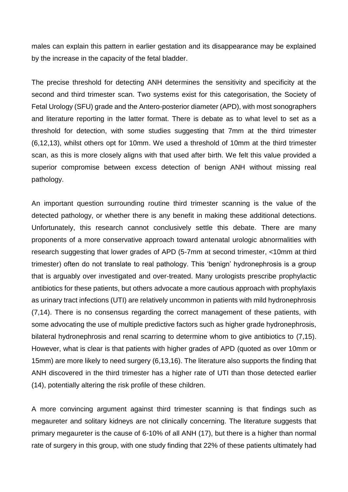males can explain this pattern in earlier gestation and its disappearance may be explained by the increase in the capacity of the fetal bladder.

The precise threshold for detecting ANH determines the sensitivity and specificity at the second and third trimester scan. Two systems exist for this categorisation, the Society of Fetal Urology (SFU) grade and the Antero-posterior diameter (APD), with most sonographers and literature reporting in the latter format. There is debate as to what level to set as a threshold for detection, with some studies suggesting that 7mm at the third trimester (6,12,13), whilst others opt for 10mm. We used a threshold of 10mm at the third trimester scan, as this is more closely aligns with that used after birth. We felt this value provided a superior compromise between excess detection of benign ANH without missing real pathology.

An important question surrounding routine third trimester scanning is the value of the detected pathology, or whether there is any benefit in making these additional detections. Unfortunately, this research cannot conclusively settle this debate. There are many proponents of a more conservative approach toward antenatal urologic abnormalities with research suggesting that lower grades of APD (5-7mm at second trimester, <10mm at third trimester) often do not translate to real pathology. This 'benign' hydronephrosis is a group that is arguably over investigated and over-treated. Many urologists prescribe prophylactic antibiotics for these patients, but others advocate a more cautious approach with prophylaxis as urinary tract infections (UTI) are relatively uncommon in patients with mild hydronephrosis (7,14). There is no consensus regarding the correct management of these patients, with some advocating the use of multiple predictive factors such as higher grade hydronephrosis, bilateral hydronephrosis and renal scarring to determine whom to give antibiotics to (7,15). However, what is clear is that patients with higher grades of APD (quoted as over 10mm or 15mm) are more likely to need surgery (6,13,16). The literature also supports the finding that ANH discovered in the third trimester has a higher rate of UTI than those detected earlier (14), potentially altering the risk profile of these children.

A more convincing argument against third trimester scanning is that findings such as megaureter and solitary kidneys are not clinically concerning. The literature suggests that primary megaureter is the cause of 6-10% of all ANH (17), but there is a higher than normal rate of surgery in this group, with one study finding that 22% of these patients ultimately had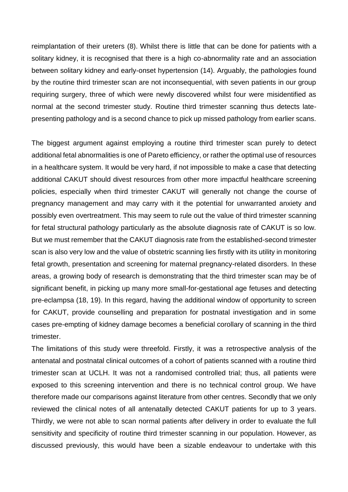reimplantation of their ureters (8). Whilst there is little that can be done for patients with a solitary kidney, it is recognised that there is a high co-abnormality rate and an association between solitary kidney and early-onset hypertension (14). Arguably, the pathologies found by the routine third trimester scan are not inconsequential, with seven patients in our group requiring surgery, three of which were newly discovered whilst four were misidentified as normal at the second trimester study. Routine third trimester scanning thus detects latepresenting pathology and is a second chance to pick up missed pathology from earlier scans.

The biggest argument against employing a routine third trimester scan purely to detect additional fetal abnormalities is one of Pareto efficiency, or rather the optimal use of resources in a healthcare system. It would be very hard, if not impossible to make a case that detecting additional CAKUT should divest resources from other more impactful healthcare screening policies, especially when third trimester CAKUT will generally not change the course of pregnancy management and may carry with it the potential for unwarranted anxiety and possibly even overtreatment. This may seem to rule out the value of third trimester scanning for fetal structural pathology particularly as the absolute diagnosis rate of CAKUT is so low. But we must remember that the CAKUT diagnosis rate from the established-second trimester scan is also very low and the value of obstetric scanning lies firstly with its utility in monitoring fetal growth, presentation and screening for maternal pregnancy-related disorders. In these areas, a growing body of research is demonstrating that the third trimester scan may be of significant benefit, in picking up many more small-for-gestational age fetuses and detecting pre-eclampsa (18, 19). In this regard, having the additional window of opportunity to screen for CAKUT, provide counselling and preparation for postnatal investigation and in some cases pre-empting of kidney damage becomes a beneficial corollary of scanning in the third trimester.

The limitations of this study were threefold. Firstly, it was a retrospective analysis of the antenatal and postnatal clinical outcomes of a cohort of patients scanned with a routine third trimester scan at UCLH. It was not a randomised controlled trial; thus, all patients were exposed to this screening intervention and there is no technical control group. We have therefore made our comparisons against literature from other centres. Secondly that we only reviewed the clinical notes of all antenatally detected CAKUT patients for up to 3 years. Thirdly, we were not able to scan normal patients after delivery in order to evaluate the full sensitivity and specificity of routine third trimester scanning in our population. However, as discussed previously, this would have been a sizable endeavour to undertake with this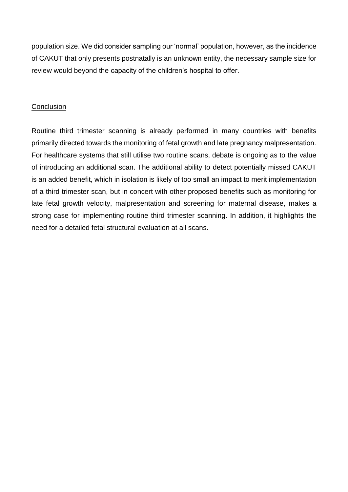population size. We did consider sampling our 'normal' population, however, as the incidence of CAKUT that only presents postnatally is an unknown entity, the necessary sample size for review would beyond the capacity of the children's hospital to offer.

## **Conclusion**

Routine third trimester scanning is already performed in many countries with benefits primarily directed towards the monitoring of fetal growth and late pregnancy malpresentation. For healthcare systems that still utilise two routine scans, debate is ongoing as to the value of introducing an additional scan. The additional ability to detect potentially missed CAKUT is an added benefit, which in isolation is likely of too small an impact to merit implementation of a third trimester scan, but in concert with other proposed benefits such as monitoring for late fetal growth velocity, malpresentation and screening for maternal disease, makes a strong case for implementing routine third trimester scanning. In addition, it highlights the need for a detailed fetal structural evaluation at all scans.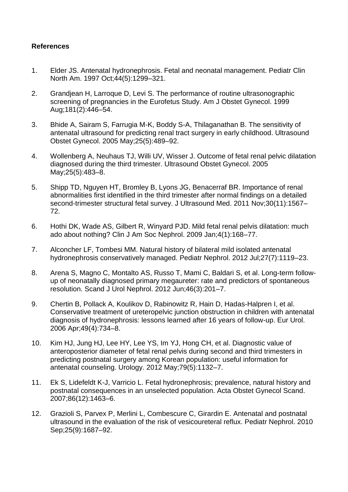# **References**

- 1. Elder JS. Antenatal hydronephrosis. Fetal and neonatal management. Pediatr Clin North Am. 1997 Oct;44(5):1299–321.
- 2. Grandjean H, Larroque D, Levi S. The performance of routine ultrasonographic screening of pregnancies in the Eurofetus Study. Am J Obstet Gynecol. 1999 Aug;181(2):446–54.
- 3. Bhide A, Sairam S, Farrugia M-K, Boddy S-A, Thilaganathan B. The sensitivity of antenatal ultrasound for predicting renal tract surgery in early childhood. Ultrasound Obstet Gynecol. 2005 May;25(5):489–92.
- 4. Wollenberg A, Neuhaus TJ, Willi UV, Wisser J. Outcome of fetal renal pelvic dilatation diagnosed during the third trimester. Ultrasound Obstet Gynecol. 2005 May;25(5):483–8.
- 5. Shipp TD, Nguyen HT, Bromley B, Lyons JG, Benacerraf BR. Importance of renal abnormalities first identified in the third trimester after normal findings on a detailed second-trimester structural fetal survey. J Ultrasound Med. 2011 Nov;30(11):1567– 72.
- 6. Hothi DK, Wade AS, Gilbert R, Winyard PJD. Mild fetal renal pelvis dilatation: much ado about nothing? Clin J Am Soc Nephrol. 2009 Jan;4(1):168–77.
- 7. Alconcher LF, Tombesi MM. Natural history of bilateral mild isolated antenatal hydronephrosis conservatively managed. Pediatr Nephrol. 2012 Jul;27(7):1119–23.
- 8. Arena S, Magno C, Montalto AS, Russo T, Mami C, Baldari S, et al. Long-term followup of neonatally diagnosed primary megaureter: rate and predictors of spontaneous resolution. Scand J Urol Nephrol. 2012 Jun;46(3):201–7.
- 9. Chertin B, Pollack A, Koulikov D, Rabinowitz R, Hain D, Hadas-Halpren I, et al. Conservative treatment of ureteropelvic junction obstruction in children with antenatal diagnosis of hydronephrosis: lessons learned after 16 years of follow-up. Eur Urol. 2006 Apr;49(4):734–8.
- 10. Kim HJ, Jung HJ, Lee HY, Lee YS, Im YJ, Hong CH, et al. Diagnostic value of anteroposterior diameter of fetal renal pelvis during second and third trimesters in predicting postnatal surgery among Korean population: useful information for antenatal counseling. Urology. 2012 May;79(5):1132–7.
- 11. Ek S, Lidefeldt K-J, Varricio L. Fetal hydronephrosis; prevalence, natural history and postnatal consequences in an unselected population. Acta Obstet Gynecol Scand. 2007;86(12):1463–6.
- 12. Grazioli S, Parvex P, Merlini L, Combescure C, Girardin E. Antenatal and postnatal ultrasound in the evaluation of the risk of vesicoureteral reflux. Pediatr Nephrol. 2010 Sep;25(9):1687–92.